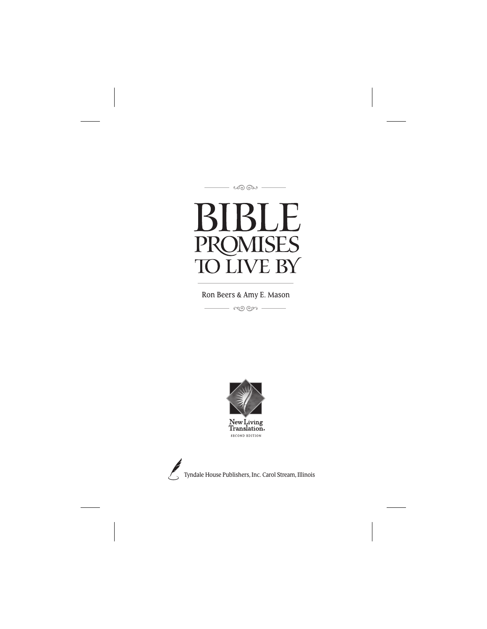<u>ೂ</u>ಯ

# IBLE K **PROMISES TO LIVE BY**

.<br>مون وړۍ Ron Beers & Amy E. Mason



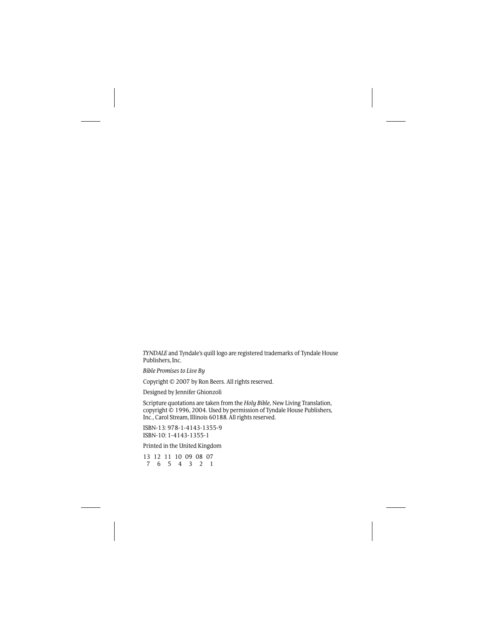*TYNDALE* and Tyndale's quill logo are registered trademarks of Tyndale House Publishers, Inc.

*Bible Promises to Live By*

Copyright © 2007 by Ron Beers. All rights reserved.

Designed by Jennifer Ghionzoli

Scripture quotations are taken from the *Holy Bible,* New Living Translation, copyright © 1996, 2004. Used by permission of Tyndale House Publishers, Inc., Carol Stream, Illinois 60188. All rights reserved.

ISBN-13: 978-1-4143-1355-9 ISBN-10: 1-4143-1355-1

Printed in the United Kingdom

13 12 11 10 09 08 07 7654321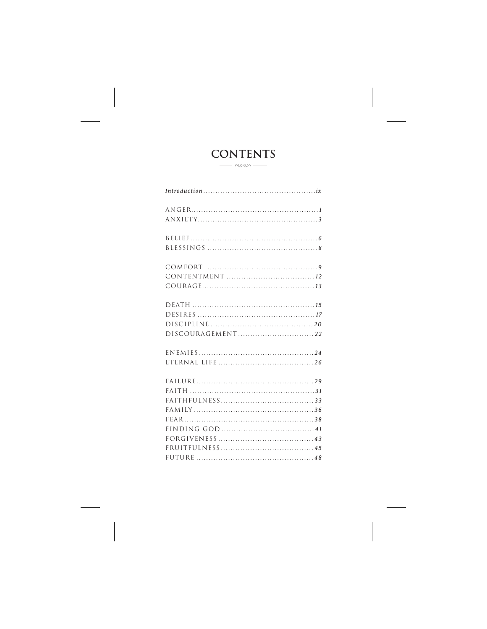## **CONTENTS**  $\frac{1}{\sqrt{2\pi}}$

| $Introduction \dots \dots \dots \dots \dots \dots \dots \dots \dots \dots \dots \dots \dots \dots \dots$ |
|----------------------------------------------------------------------------------------------------------|
|                                                                                                          |
|                                                                                                          |
|                                                                                                          |
|                                                                                                          |
|                                                                                                          |
|                                                                                                          |
|                                                                                                          |
|                                                                                                          |
|                                                                                                          |
|                                                                                                          |
|                                                                                                          |
|                                                                                                          |
|                                                                                                          |
|                                                                                                          |
|                                                                                                          |
|                                                                                                          |
|                                                                                                          |
|                                                                                                          |
|                                                                                                          |
|                                                                                                          |
|                                                                                                          |
|                                                                                                          |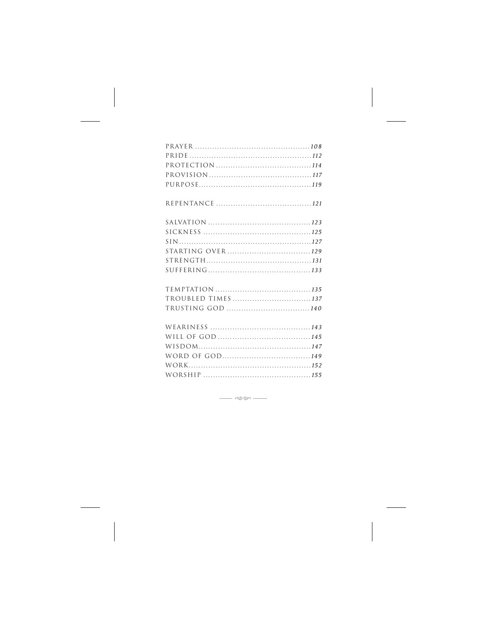| TROUBLED TIMES 137 |  |
|--------------------|--|
| TRUSTING GOD 140   |  |
|                    |  |
|                    |  |
|                    |  |
|                    |  |
|                    |  |
|                    |  |

 $\begin{tabular}{c} \quad \quad \quad & \quad \quad \quad & \quad \quad \quad \\ \begin{tabular}{c} \quad \quad & \quad \quad & \quad \quad \\ \quad \quad & \quad \quad & \quad \quad \\ \quad \quad & \quad \quad & \quad \quad \\ \quad \quad & \quad \quad & \quad \quad \\ \quad \quad & \quad \quad & \quad \quad \\ \quad \quad & \quad \quad & \quad \quad \\ \quad \quad & \quad \quad & \quad \quad \\ \quad \quad & \quad \quad & \quad \quad \\ \quad \quad & \quad \quad & \quad \quad \\ \quad \quad & \quad \quad & \quad \quad \\ \quad \quad & \quad \quad & \quad \quad \\ \quad \quad & \quad \quad & \quad \quad \\ \quad \$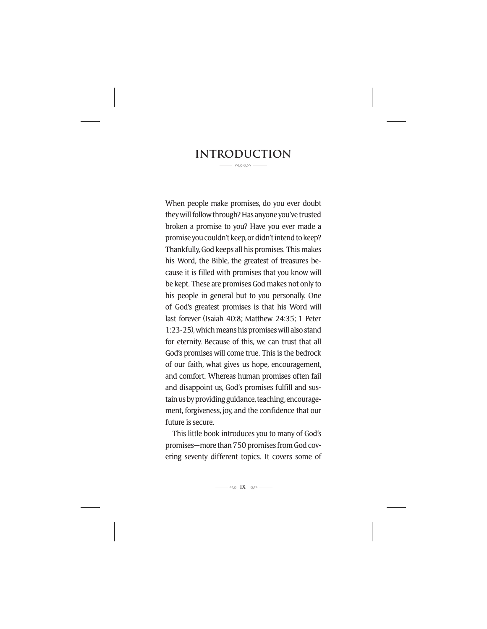#### **Introduction** --

When people make promises, do you ever doubt they will follow through? Has anyone you've trusted broken a promise to you? Have you ever made a promise you couldn't keep, or didn't intend to keep? Thankfully, God keeps all his promises. This makes his Word, the Bible, the greatest of treasures because it is filled with promises that you know will be kept. These are promises God makes not only to his people in general but to you personally. One of God's greatest promises is that his Word will last forever (Isaiah 40:8; Matthew 24:35; 1 Peter 1:23-25), which means his promises will also stand for eternity. Because of this, we can trust that all God's promises will come true. This is the bedrock of our faith, what gives us hope, encouragement, and comfort. Whereas human promises often fail and disappoint us, God's promises fulfill and sustain us by providing guidance, teaching, encouragement, forgiveness, joy, and the confidence that our future is secure.

This little book introduces you to many of God's promises—more than 750 promises from God covering seventy different topics. It covers some of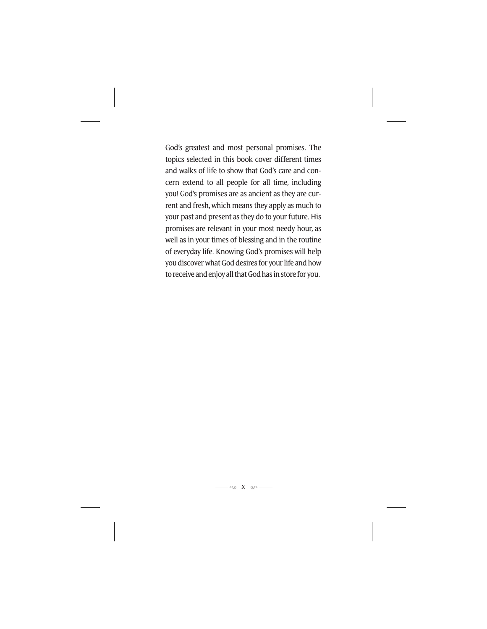God's greatest and most personal promises. The topics selected in this book cover different times and walks of life to show that God's care and concern extend to all people for all time, including you! God's promises are as ancient as they are current and fresh, which means they apply as much to your past and present as they do to your future. His promises are relevant in your most needy hour, as well as in your times of blessing and in the routine of everyday life. Knowing God's promises will help you discover what God desires for your life and how to receive and enjoy all that God has in store for you.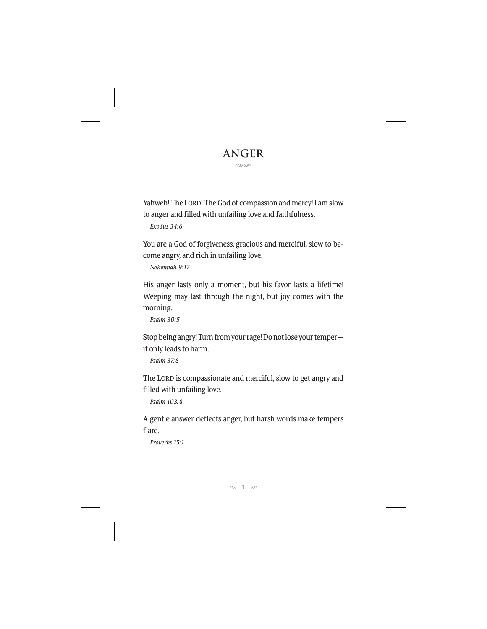### **Anger** --

Yahweh! The LORD! The God of compassion and mercy! I am slow to anger and filled with unfailing love and faithfulness.

*Exodus 34:6*

You are a God of forgiveness, gracious and merciful, slow to become angry, and rich in unfailing love.

*Nehemiah 9:17*

His anger lasts only a moment, but his favor lasts a lifetime! Weeping may last through the night, but joy comes with the morning.

*Psalm 30:5*

Stop being angry! Turn from your rage! Do not lose your temper it only leads to harm.

*Psalm 37:8*

The LORD is compassionate and merciful, slow to get angry and filled with unfailing love.

*Psalm 103:8*

A gentle answer deflects anger, but harsh words make tempers flare.

*Proverbs 15:1*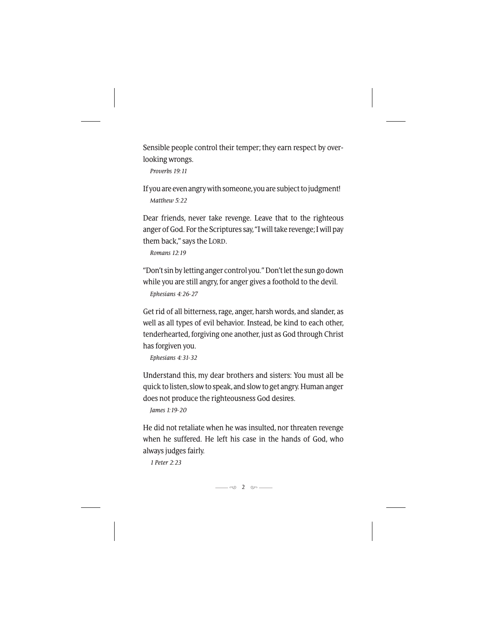Sensible people control their temper; they earn respect by overlooking wrongs.

*Proverbs 19:11*

If you are even angry with someone, you are subject to judgment! *Matthew 5:22*

Dear friends, never take revenge. Leave that to the righteous anger of God. For the Scriptures say, "I will take revenge; I will pay them back," says the LORD.

*Romans 12:19*

"Don't sin by letting anger control you." Don't let the sun go down while you are still angry, for anger gives a foothold to the devil.

*Ephesians 4:26-27*

Get rid of all bitterness, rage, anger, harsh words, and slander, as well as all types of evil behavior. Instead, be kind to each other, tenderhearted, forgiving one another, just as God through Christ has forgiven you.

*Ephesians 4:31-32*

Understand this, my dear brothers and sisters: You must all be quick to listen, slow to speak, and slow to get angry. Human anger does not produce the righteousness God desires.

*James 1:19-20*

He did not retaliate when he was insulted, nor threaten revenge when he suffered. He left his case in the hands of God, who always judges fairly.

*1 Peter 2:23*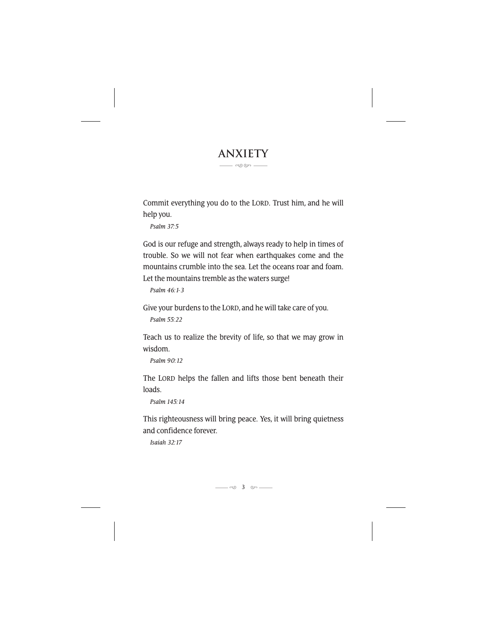#### **Anxiety** --

Commit everything you do to the LORD. Trust him, and he will help you.

*Psalm 37:5*

God is our refuge and strength, always ready to help in times of trouble. So we will not fear when earthquakes come and the mountains crumble into the sea. Let the oceans roar and foam. Let the mountains tremble as the waters surge!

*Psalm 46:1-3*

Give your burdens to the LORD, and he will take care of you.

*Psalm 55:22*

Teach us to realize the brevity of life, so that we may grow in wisdom.

*Psalm 90:12*

The LORD helps the fallen and lifts those bent beneath their loads.

*Psalm 145:14*

This righteousness will bring peace. Yes, it will bring quietness and confidence forever.

*Isaiah 32:17*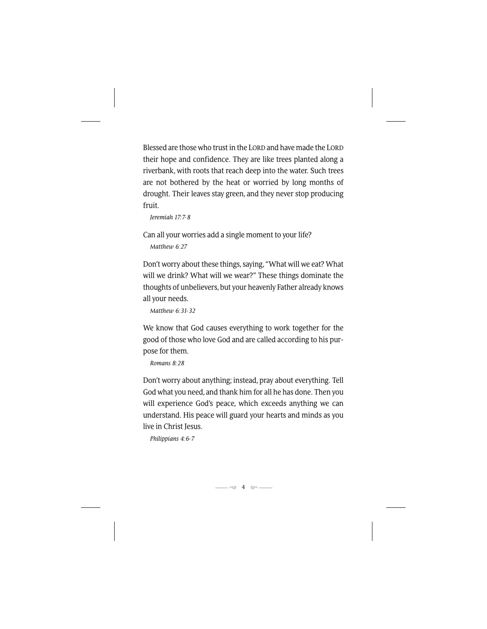Blessed are those who trust in the LORD and have made the LORD their hope and confidence. They are like trees planted along a riverbank, with roots that reach deep into the water. Such trees are not bothered by the heat or worried by long months of drought. Their leaves stay green, and they never stop producing fruit.

*Jeremiah 17:7-8*

Can all your worries add a single moment to your life? *Matthew 6:27*

Don't worry about these things, saying, "What will we eat? What will we drink? What will we wear?" These things dominate the thoughts of unbelievers, but your heavenly Father already knows all your needs.

*Matthew 6:31-32*

We know that God causes everything to work together for the good of those who love God and are called according to his purpose for them.

*Romans 8:28*

Don't worry about anything; instead, pray about everything. Tell God what you need, and thank him for all he has done. Then you will experience God's peace, which exceeds anything we can understand. His peace will guard your hearts and minds as you live in Christ Jesus.

*Philippians 4:6-7*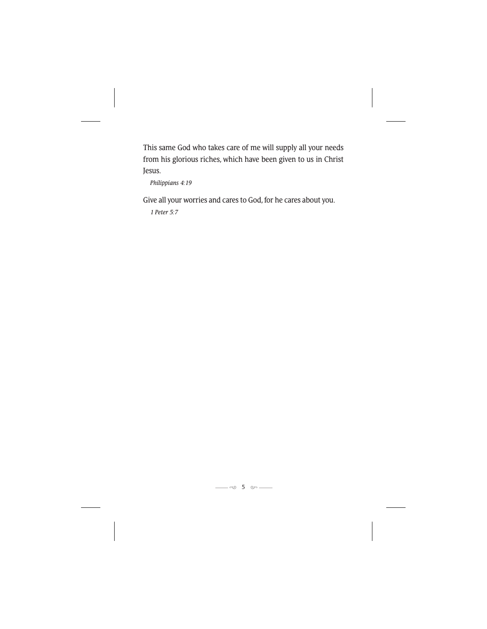This same God who takes care of me will supply all your needs from his glorious riches, which have been given to us in Christ Jesus.

*Philippians 4:19*

Give all your worries and cares to God, for he cares about you.

*1 Peter 5:7*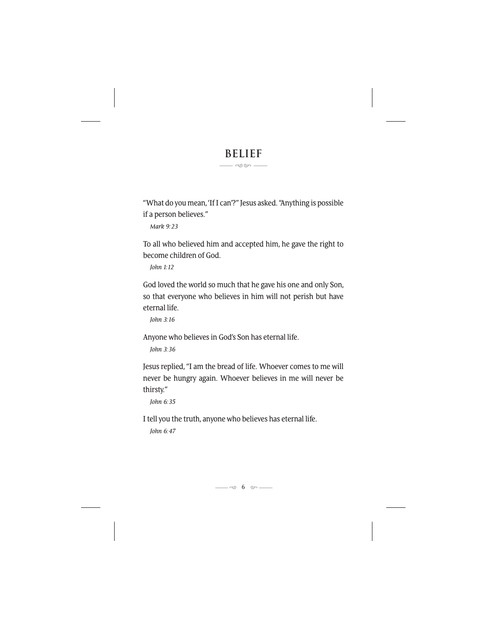### **Belief** --

"What do you mean, 'If I can'?" Jesus asked. "Anything is possible if a person believes."

*Mark 9:23*

To all who believed him and accepted him, he gave the right to become children of God.

*John 1:12*

God loved the world so much that he gave his one and only Son, so that everyone who believes in him will not perish but have eternal life.

*John 3:16*

Anyone who believes in God's Son has eternal life.

*John 3:36*

Jesus replied, "I am the bread of life. Whoever comes to me will never be hungry again. Whoever believes in me will never be thirsty."

*John 6:35*

I tell you the truth, anyone who believes has eternal life.

*John 6:47*

10 6 cm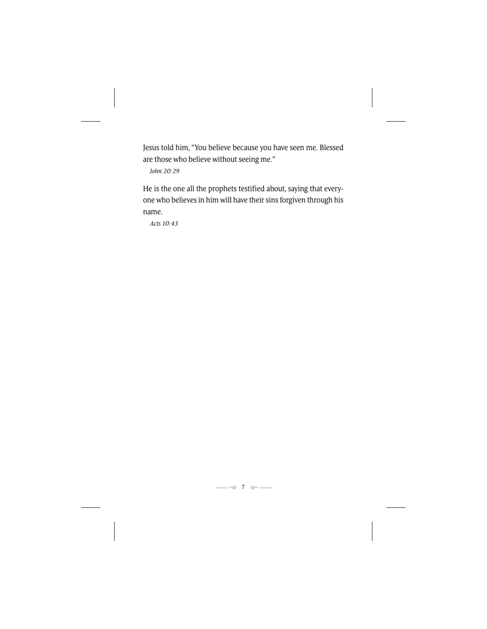Jesus told him, "You believe because you have seen me. Blessed are those who believe without seeing me."

*John 20:29*

He is the one all the prophets testified about, saying that everyone who believes in him will have their sins forgiven through his name.

*Acts 10:43*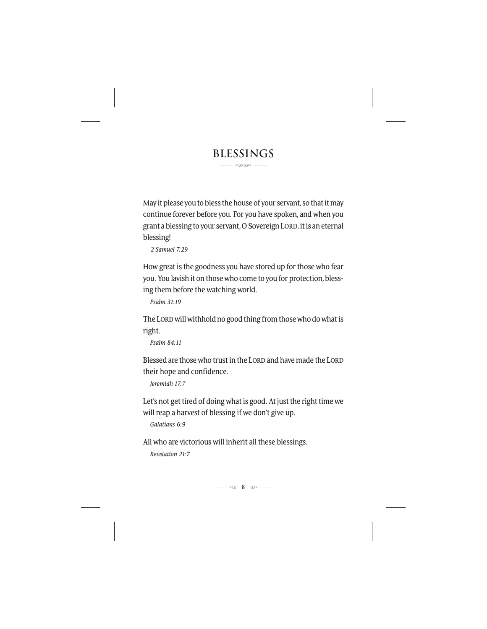### **Blessings** --

May it please you to bless the house of your servant, so that it may continue forever before you. For you have spoken, and when you grant a blessing to your servant, O Sovereign LORD, it is an eternal blessing!

*2 Samuel 7:29*

How great is the goodness you have stored up for those who fear you. You lavish it on those who come to you for protection, blessing them before the watching world.

*Psalm 31:19*

The LORDwill withhold no good thing from those who do what is right.

*Psalm 84:11*

Blessed are those who trust in the LORD and have made the LORD their hope and confidence.

*Jeremiah 17:7*

Let's not get tired of doing what is good. At just the right time we will reap a harvest of blessing if we don't give up.

*Galatians 6:9*

All who are victorious will inherit all these blessings.

*Revelation 21:7*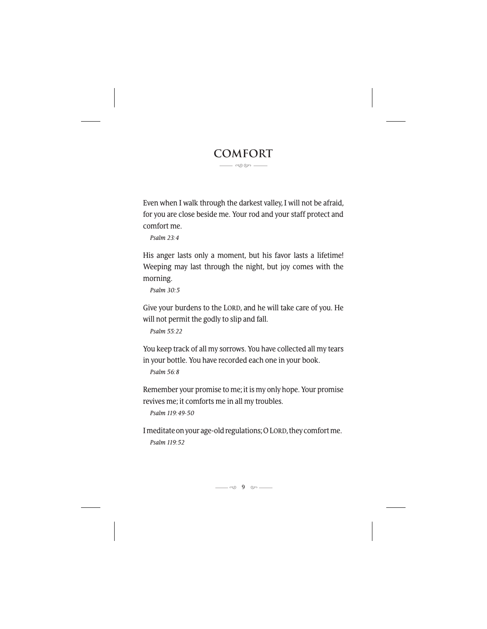#### **Comfort** --

Even when I walk through the darkest valley, I will not be afraid, for you are close beside me. Your rod and your staff protect and comfort me.

*Psalm 23:4*

His anger lasts only a moment, but his favor lasts a lifetime! Weeping may last through the night, but joy comes with the morning.

*Psalm 30:5*

Give your burdens to the LORD, and he will take care of you. He will not permit the godly to slip and fall.

*Psalm 55:22*

You keep track of all my sorrows. You have collected all my tears in your bottle. You have recorded each one in your book.

*Psalm 56:8*

Remember your promise to me; it is my only hope. Your promise revives me; it comforts me in all my troubles.

*Psalm 119:49-50*

I meditate on your age-old regulations; O LORD, they comfort me. *Psalm 119:52*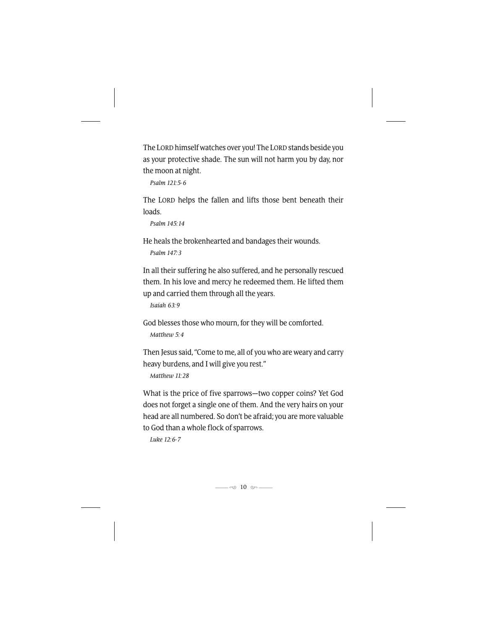The LORD himself watches over you! The LORD stands beside you as your protective shade. The sun will not harm you by day, nor the moon at night.

*Psalm 121:5-6*

The LORD helps the fallen and lifts those bent beneath their loads.

*Psalm 145:14*

He heals the brokenhearted and bandages their wounds.

*Psalm 147:3*

In all their suffering he also suffered, and he personally rescued them. In his love and mercy he redeemed them. He lifted them up and carried them through all the years.

*Isaiah 63:9*

God blesses those who mourn, for they will be comforted.

*Matthew 5:4*

Then Jesus said, "Come to me, all of you who are weary and carry heavy burdens, and I will give you rest."

*Matthew 11:28*

What is the price of five sparrows—two copper coins? Yet God does not forget a single one of them. And the very hairs on your head are all numbered. So don't be afraid; you are more valuable to God than a whole flock of sparrows.

*Luke 12:6-7*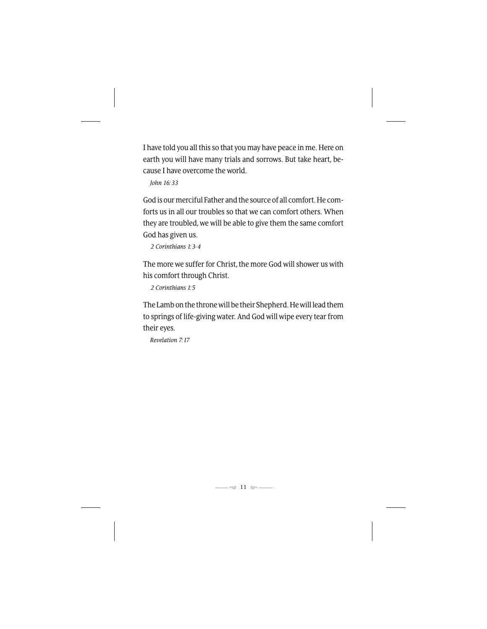I have told you all this so that you may have peace in me. Here on earth you will have many trials and sorrows. But take heart, because I have overcome the world.

*John 16:33*

God is our merciful Father and the source of all comfort. He comforts us in all our troubles so that we can comfort others. When they are troubled, we will be able to give them the same comfort God has given us.

*2 Corinthians 1:3-4*

The more we suffer for Christ, the more God will shower us with his comfort through Christ.

*2 Corinthians 1:5*

The Lamb on the throne will be their Shepherd. He will lead them to springs of life-giving water. And God will wipe every tear from their eyes.

*Revelation 7:17*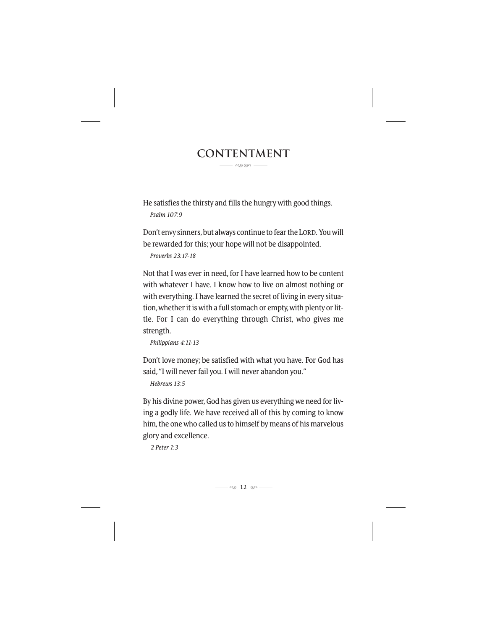#### **Contentment** --

He satisfies the thirsty and fills the hungry with good things.

*Psalm 107:9*

Don't envy sinners, but always continue to fear the LORD. You will be rewarded for this; your hope will not be disappointed.

*Proverbs 23:17-18*

Not that I was ever in need, for I have learned how to be content with whatever I have. I know how to live on almost nothing or with everything. I have learned the secret of living in every situation, whether it is with a full stomach or empty, with plenty or little. For I can do everything through Christ, who gives me strength.

*Philippians 4:11-13*

Don't love money; be satisfied with what you have. For God has said, "I will never fail you. I will never abandon you."

*Hebrews 13:5*

By his divine power, God has given us everything we need for living a godly life. We have received all of this by coming to know him, the one who called us to himself by means of his marvelous glory and excellence.

*2 Peter 1:3*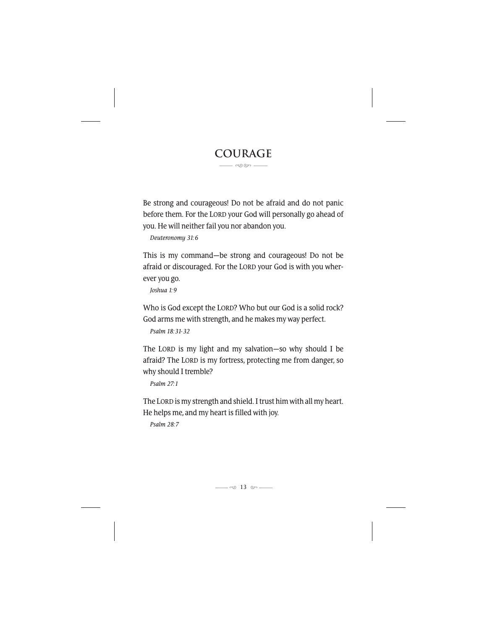#### **Courage** --

Be strong and courageous! Do not be afraid and do not panic before them. For the LORD your God will personally go ahead of you. He will neither fail you nor abandon you.

*Deuteronomy 31:6*

This is my command—be strong and courageous! Do not be afraid or discouraged. For the LORD your God is with you wherever you go.

*Joshua 1:9*

Who is God except the LORD? Who but our God is a solid rock? God arms me with strength, and he makes my way perfect.

*Psalm 18:31-32*

The LORD is my light and my salvation—so why should I be afraid? The LORD is my fortress, protecting me from danger, so why should I tremble?

*Psalm 27:1*

The LORD is my strength and shield. I trust him with all my heart. He helps me, and my heart is filled with joy.

*Psalm 28:7*